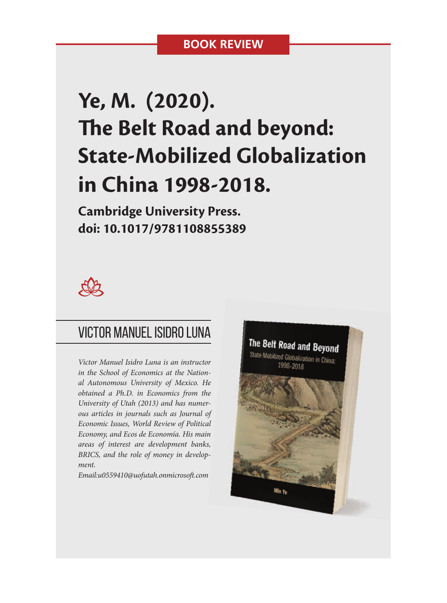## **BOOK REVIEW**

# **Ye, M. (2020). The Belt Road and beyond: State-Mobilized Globalization in China 1998-2018.**

**Cambridge University Press. doi: 10.1017/9781108855389**



## VIctor Manuel Isidro Luna

*Victor Manuel Isidro Luna is an instructor in the School of Economics at the National Autonomous University of Mexico. He obtained a Ph.D. in Economics from the University of Utah (2013) and has numerous articles in journals such as Journal of Economic Issues, World Review of Political Economy, and Ecos de Economía. His main areas of interest are development banks, BRICS, and the role of money in development.*

*Email:u0559410@uofutah.onmicroso .com*

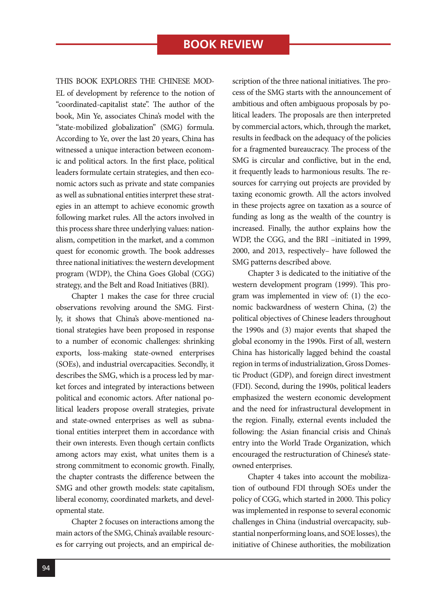### THIS BOOK EXPLORES THE CHINESE MOD-

EL of development by reference to the notion of "coordinated-capitalist state". The author of the book, Min Ye, associates China's model with the "state-mobilized globalization" (SMG) formula. According to Ye, over the last 20 years, China has witnessed a unique interaction between economic and political actors. In the first place, political leaders formulate certain strategies, and then economic actors such as private and state companies as well as subnational entities interpret these strategies in an attempt to achieve economic growth following market rules. All the actors involved in this process share three underlying values: nationalism, competition in the market, and a common quest for economic growth. The book addresses three national initiatives: the western development program (WDP), the China Goes Global (CGG) strategy, and the Belt and Road Initiatives (BRI).

Chapter 1 makes the case for three crucial observations revolving around the SMG. Firstly, it shows that China's above-mentioned national strategies have been proposed in response to a number of economic challenges: shrinking exports, loss-making state-owned enterprises (SOEs), and industrial overcapacities. Secondly, it describes the SMG, which is a process led by market forces and integrated by interactions between political and economic actors. After national political leaders propose overall strategies, private and state-owned enterprises as well as subnational entities interpret them in accordance with their own interests. Even though certain conflicts among actors may exist, what unites them is a strong commitment to economic growth. Finally, the chapter contrasts the difference between the SMG and other growth models: state capitalism, liberal economy, coordinated markets, and developmental state.

Chapter 2 focuses on interactions among the main actors of the SMG, China's available resources for carrying out projects, and an empirical description of the three national initiatives. The process of the SMG starts with the announcement of ambitious and often ambiguous proposals by political leaders. The proposals are then interpreted by commercial actors, which, through the market, results in feedback on the adequacy of the policies for a fragmented bureaucracy. The process of the SMG is circular and conflictive, but in the end, it frequently leads to harmonious results. The resources for carrying out projects are provided by taxing economic growth. All the actors involved in these projects agree on taxation as a source of funding as long as the wealth of the country is increased. Finally, the author explains how the WDP, the CGG, and the BRI –initiated in 1999, 2000, and 2013, respectively– have followed the SMG patterns described above.

Chapter 3 is dedicated to the initiative of the western development program (1999). This program was implemented in view of: (1) the economic backwardness of western China, (2) the political objectives of Chinese leaders throughout the 1990s and (3) major events that shaped the global economy in the 1990s. First of all, western China has historically lagged behind the coastal region in terms of industrialization, Gross Domestic Product (GDP), and foreign direct investment (FDI). Second, during the 1990s, political leaders emphasized the western economic development and the need for infrastructural development in the region. Finally, external events included the following: the Asian financial crisis and China's entry into the World Trade Organization, which encouraged the restructuration of Chinese's stateowned enterprises.

Chapter 4 takes into account the mobilization of outbound FDI through SOEs under the policy of CGG, which started in 2000. This policy was implemented in response to several economic challenges in China (industrial overcapacity, substantial nonperforming loans, and SOE losses), the initiative of Chinese authorities, the mobilization